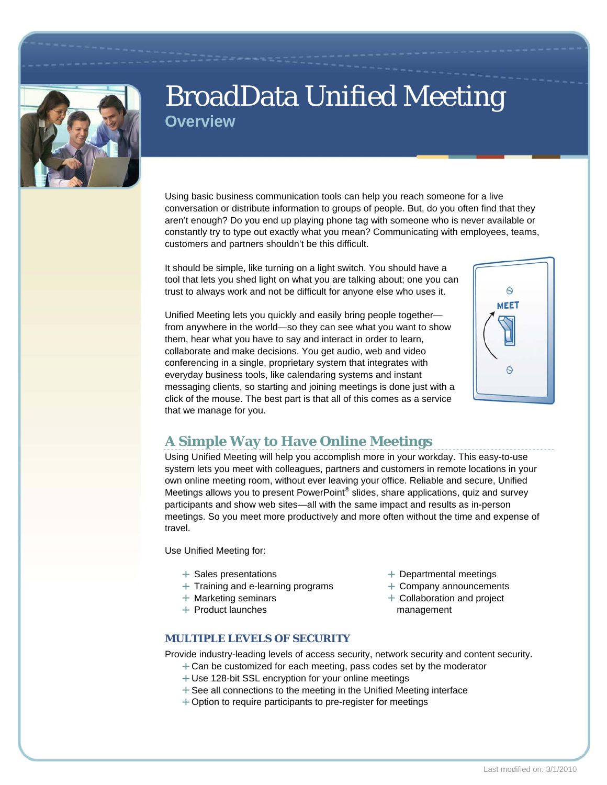

# BroadData Unified Meeting **Overview**

Using basic business communication tools can help you reach someone for a live conversation or distribute information to groups of people. But, do you often find that they aren't enough? Do you end up playing phone tag with someone who is never available or constantly try to type out exactly what you mean? Communicating with employees, teams, customers and partners shouldn't be this difficult.

It should be simple, like turning on a light switch. You should have a tool that lets you shed light on what you are talking about; one you can trust to always work and not be difficult for anyone else who uses it.

Unified Meeting lets you quickly and easily bring people together from anywhere in the world—so they can see what you want to show them, hear what you have to say and interact in order to learn, collaborate and make decisions. You get audio, web and video conferencing in a single, proprietary system that integrates with everyday business tools, like calendaring systems and instant messaging clients, so starting and joining meetings is done just with a click of the mouse. The best part is that all of this comes as a service that we manage for you.



## **A Simple Way to Have Online Meetings**

Using Unified Meeting will help you accomplish more in your workday. This easy-to-use system lets you meet with colleagues, partners and customers in remote locations in your own online meeting room, without ever leaving your office. Reliable and secure, Unified Meetings allows you to present PowerPoint® slides, share applications, quiz and survey participants and show web sites—all with the same impact and results as in-person meetings. So you meet more productively and more often without the time and expense of travel.

Use Unified Meeting for:

- $+$  Sales presentations
- $+$  Training and e-learning programs
- $+$  Marketing seminars
- $+$  Product launches
- + Departmental meetings
- Company announcements
- + Collaboration and project management

#### **MULTIPLE LEVELS OF SECURITY**

Provide industry-leading levels of access security, network security and content security.

- $+$  Can be customized for each meeting, pass codes set by the moderator
- + Use 128-bit SSL encryption for your online meetings
- $+$  See all connections to the meeting in the Unified Meeting interface
- + Option to require participants to pre-register for meetings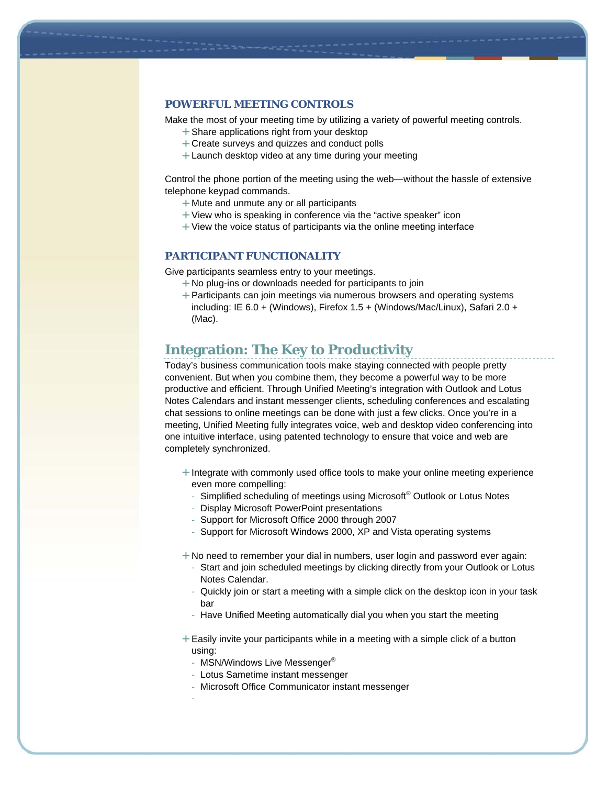#### **POWERFUL MEETING CONTROLS**

Make the most of your meeting time by utilizing a variety of powerful meeting controls.

- + Share applications right from your desktop
- Create surveys and quizzes and conduct polls
- $+$  Launch desktop video at any time during your meeting

Control the phone portion of the meeting using the web—without the hassle of extensive telephone keypad commands.

- Mute and unmute any or all participants
- $+$  View who is speaking in conference via the "active speaker" icon
- $+$  View the voice status of participants via the online meeting interface

#### **PARTICIPANT FUNCTIONALITY**

Give participants seamless entry to your meetings.

- No plug-ins or downloads needed for participants to join
- Participants can join meetings via numerous browsers and operating systems including: IE 6.0 + (Windows), Firefox 1.5 + (Windows/Mac/Linux), Safari 2.0 + (Mac).

### **Integration: The Key to Productivity**

Today's business communication tools make staying connected with people pretty convenient. But when you combine them, they become a powerful way to be more productive and efficient. Through Unified Meeting's integration with Outlook and Lotus Notes Calendars and instant messenger clients, scheduling conferences and escalating chat sessions to online meetings can be done with just a few clicks. Once you're in a meeting, Unified Meeting fully integrates voice, web and desktop video conferencing into one intuitive interface, using patented technology to ensure that voice and web are completely synchronized.

- $+$  Integrate with commonly used office tools to make your online meeting experience even more compelling:
	- Simplified scheduling of meetings using Microsoft® Outlook or Lotus Notes
	- Display Microsoft PowerPoint presentations
	- Support for Microsoft Office 2000 through 2007
	- Support for Microsoft Windows 2000, XP and Vista operating systems
- + No need to remember your dial in numbers, user login and password ever again:
	- Start and join scheduled meetings by clicking directly from your Outlook or Lotus Notes Calendar.
	- Quickly join or start a meeting with a simple click on the desktop icon in your task bar
	- Have Unified Meeting automatically dial you when you start the meeting
- $+$  Easily invite your participants while in a meeting with a simple click of a button using:
	- MSN/Windows Live Messenger<sup>®</sup>
	- Lotus Sametime instant messenger
	- Microsoft Office Communicator instant messenger
	- -